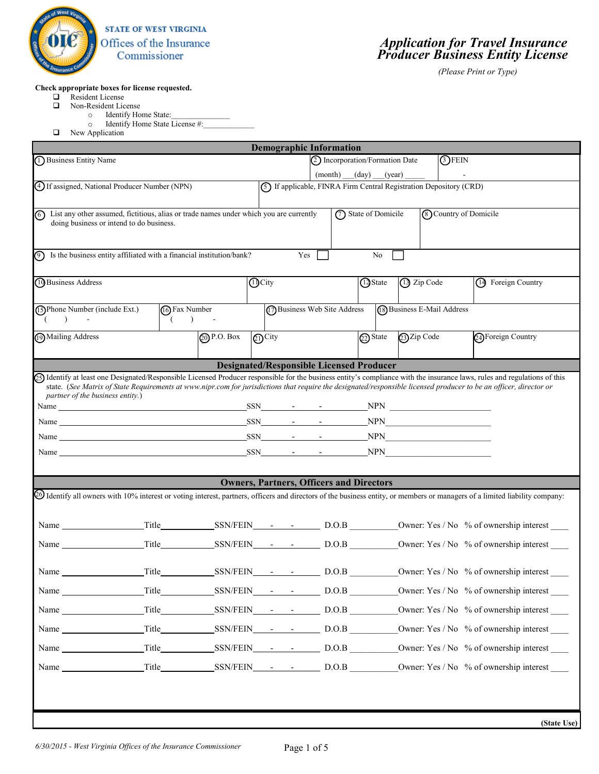

## *Application for Travel Insurance Producer Business Entity License*

*(Please Print or Type)* 

## **Check appropriate boxes for license requested.**

- Resident License
- Non-Resident License
	- o Identify Home State:
		- $\circ$  Identify Home State License #:
- **Q** New Application

|                                                                                                                                                                                                        |                                                                                   |                    |                               | <b>Demographic Information</b>                  |  |  |                                |                                                                     |               |                              |                                         |             |
|--------------------------------------------------------------------------------------------------------------------------------------------------------------------------------------------------------|-----------------------------------------------------------------------------------|--------------------|-------------------------------|-------------------------------------------------|--|--|--------------------------------|---------------------------------------------------------------------|---------------|------------------------------|-----------------------------------------|-------------|
| (1) Business Entity Name                                                                                                                                                                               |                                                                                   |                    |                               |                                                 |  |  | 2 Incorporation/Formation Date |                                                                     | <b>3</b> FEIN |                              |                                         |             |
|                                                                                                                                                                                                        |                                                                                   |                    |                               |                                                 |  |  | (month) (day) (year)           |                                                                     |               |                              |                                         |             |
| (4) If assigned, National Producer Number (NPN)                                                                                                                                                        |                                                                                   |                    |                               |                                                 |  |  |                                | (5) If applicable, FINRA Firm Central Registration Depository (CRD) |               |                              |                                         |             |
| List any other assumed, fictitious, alias or trade names under which you are currently<br>ര<br>doing business or intend to do business.                                                                |                                                                                   |                    |                               |                                                 |  |  | (7) State of Domicile          |                                                                     |               | <b>8</b> Country of Domicile |                                         |             |
|                                                                                                                                                                                                        |                                                                                   |                    |                               |                                                 |  |  |                                |                                                                     |               |                              |                                         |             |
| の                                                                                                                                                                                                      | Is the business entity affiliated with a financial institution/bank?<br>Yes<br>No |                    |                               |                                                 |  |  |                                |                                                                     |               |                              |                                         |             |
| 10 Business Address                                                                                                                                                                                    |                                                                                   |                    | <b>D</b> City                 |                                                 |  |  | 13 State                       | (13) Zip Code                                                       |               |                              | (14) Foreign Country                    |             |
| (15) Phone Number (include Ext.)                                                                                                                                                                       | (16) Fax Number                                                                   |                    |                               | 17 Business Web Site Address                    |  |  |                                | (8) Business E-Mail Address                                         |               |                              |                                         |             |
| $\rightarrow$                                                                                                                                                                                          | $($ ) -                                                                           |                    |                               |                                                 |  |  |                                |                                                                     |               |                              |                                         |             |
| (19) Mailing Address                                                                                                                                                                                   |                                                                                   | $\oslash$ P.O. Box | $\mathcal{O}^{\mathrm{City}}$ |                                                 |  |  |                                | 22) State 23) Zip Code                                              |               |                              | 24) Foreign Country                     |             |
|                                                                                                                                                                                                        |                                                                                   |                    |                               | <b>Designated/Responsible Licensed Producer</b> |  |  |                                |                                                                     |               |                              |                                         |             |
| (25) Identify at least one Designated/Responsible Licensed Producer responsible for the business entity's compliance with the insurance laws, rules and regulations of this                            |                                                                                   |                    |                               |                                                 |  |  |                                |                                                                     |               |                              |                                         |             |
| state. (See Matrix of State Requirements at www.nipr.com for jurisdictions that require the designated/responsible licensed producer to be an officer, director or<br>partner of the business entity.) |                                                                                   |                    |                               |                                                 |  |  |                                |                                                                     |               |                              |                                         |             |
|                                                                                                                                                                                                        |                                                                                   |                    |                               |                                                 |  |  |                                |                                                                     |               |                              |                                         |             |
| <u>SSN SALES NEWSFILM SALES NEWSFILM SALES NEWSFILM SALES NEWSFILM SALES NEWSFILM SALES NEWSFILM SALES NEWSFILM S</u><br>Name                                                                          |                                                                                   |                    |                               |                                                 |  |  |                                |                                                                     |               |                              |                                         |             |
| Name $SSN$ $ NPN$                                                                                                                                                                                      |                                                                                   |                    |                               |                                                 |  |  |                                |                                                                     |               |                              |                                         |             |
| Name New SON New SON New York NPN                                                                                                                                                                      |                                                                                   |                    |                               |                                                 |  |  |                                |                                                                     |               |                              |                                         |             |
|                                                                                                                                                                                                        |                                                                                   |                    |                               | <b>Owners, Partners, Officers and Directors</b> |  |  |                                |                                                                     |               |                              |                                         |             |
| 20 Identify all owners with 10% interest or voting interest, partners, officers and directors of the business entity, or members or managers of a limited liability company:                           |                                                                                   |                    |                               |                                                 |  |  |                                |                                                                     |               |                              |                                         |             |
|                                                                                                                                                                                                        |                                                                                   |                    |                               |                                                 |  |  |                                |                                                                     |               |                              |                                         |             |
|                                                                                                                                                                                                        |                                                                                   |                    |                               |                                                 |  |  |                                |                                                                     |               |                              |                                         |             |
|                                                                                                                                                                                                        |                                                                                   |                    |                               |                                                 |  |  |                                |                                                                     |               |                              |                                         |             |
| Name Title SSN/FEIN - D.O.B Owner: Yes / No % of ownership interest                                                                                                                                    |                                                                                   |                    |                               |                                                 |  |  |                                |                                                                     |               |                              |                                         |             |
| Name Title SSN/FEIN - D.O.B Owner: Yes / No % of ownership interest                                                                                                                                    |                                                                                   |                    |                               |                                                 |  |  |                                |                                                                     |               |                              |                                         |             |
| Name Title SSN/FEIN - D.O.B                                                                                                                                                                            |                                                                                   |                    |                               |                                                 |  |  |                                |                                                                     |               |                              | Owner: Yes / No % of ownership interest |             |
|                                                                                                                                                                                                        |                                                                                   |                    |                               |                                                 |  |  |                                |                                                                     |               |                              |                                         |             |
| Name Title SSN/FEIN - D.O.B Owner: Yes / No % of ownership interest                                                                                                                                    |                                                                                   |                    |                               |                                                 |  |  |                                |                                                                     |               |                              |                                         |             |
|                                                                                                                                                                                                        |                                                                                   |                    |                               |                                                 |  |  |                                |                                                                     |               |                              |                                         |             |
|                                                                                                                                                                                                        |                                                                                   |                    |                               |                                                 |  |  |                                |                                                                     |               |                              |                                         |             |
|                                                                                                                                                                                                        |                                                                                   |                    |                               |                                                 |  |  |                                |                                                                     |               |                              |                                         |             |
|                                                                                                                                                                                                        |                                                                                   |                    |                               |                                                 |  |  |                                |                                                                     |               |                              |                                         | (State Use) |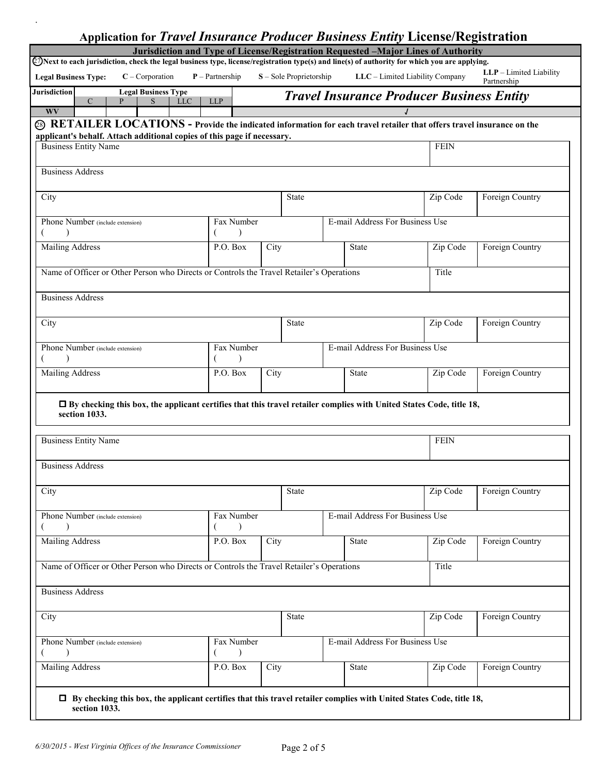|                                                                                                                                                                                   |   |                            |            |                         |      |                         |                                 | <b>Application for Travel Insurance Producer Business Entity License/Registration</b><br>Jurisdiction and Type of License/Registration Requested -Major Lines of Authority |                                        |
|-----------------------------------------------------------------------------------------------------------------------------------------------------------------------------------|---|----------------------------|------------|-------------------------|------|-------------------------|---------------------------------|----------------------------------------------------------------------------------------------------------------------------------------------------------------------------|----------------------------------------|
|                                                                                                                                                                                   |   |                            |            |                         |      |                         |                                 | 27) Next to each jurisdiction, check the legal business type, license/registration type(s) and line(s) of authority for which you are applying.                            |                                        |
| <b>Legal Business Type:</b>                                                                                                                                                       |   | $C$ – Corporation          |            | $P$ – Partnership       |      | S - Sole Proprietorship |                                 | LLC - Limited Liability Company                                                                                                                                            | LLP - Limited Liability<br>Partnership |
| <b>Jurisdiction</b>                                                                                                                                                               |   | <b>Legal Business Type</b> |            |                         |      |                         |                                 | <b>Travel Insurance Producer Business Entity</b>                                                                                                                           |                                        |
| $\mathsf{C}$<br><b>WV</b>                                                                                                                                                         | P | S                          | <b>LLC</b> | <b>LLP</b>              |      |                         |                                 |                                                                                                                                                                            |                                        |
|                                                                                                                                                                                   |   |                            |            |                         |      |                         |                                 | $@$ RETAILER LOCATIONS - Provide the indicated information for each travel retailer that offers travel insurance on the                                                    |                                        |
| applicant's behalf. Attach additional copies of this page if necessary.                                                                                                           |   |                            |            |                         |      |                         |                                 |                                                                                                                                                                            |                                        |
| <b>Business Entity Name</b>                                                                                                                                                       |   |                            |            |                         |      |                         |                                 | <b>FEIN</b>                                                                                                                                                                |                                        |
| <b>Business Address</b>                                                                                                                                                           |   |                            |            |                         |      |                         |                                 |                                                                                                                                                                            |                                        |
|                                                                                                                                                                                   |   |                            |            |                         |      |                         |                                 |                                                                                                                                                                            |                                        |
| City                                                                                                                                                                              |   |                            |            |                         |      | <b>State</b>            |                                 | Zip Code                                                                                                                                                                   | Foreign Country                        |
|                                                                                                                                                                                   |   |                            |            |                         |      |                         |                                 |                                                                                                                                                                            |                                        |
| Phone Number (include extension)<br>$\lambda$                                                                                                                                     |   |                            |            | Fax Number<br>$\lambda$ |      |                         | E-mail Address For Business Use |                                                                                                                                                                            |                                        |
| <b>Mailing Address</b>                                                                                                                                                            |   |                            |            | P.O. Box                | City |                         | State                           | Zip Code                                                                                                                                                                   | Foreign Country                        |
|                                                                                                                                                                                   |   |                            |            |                         |      |                         |                                 |                                                                                                                                                                            |                                        |
| Name of Officer or Other Person who Directs or Controls the Travel Retailer's Operations                                                                                          |   |                            |            |                         |      |                         |                                 | Title                                                                                                                                                                      |                                        |
|                                                                                                                                                                                   |   |                            |            |                         |      |                         |                                 |                                                                                                                                                                            |                                        |
| <b>Business Address</b>                                                                                                                                                           |   |                            |            |                         |      |                         |                                 |                                                                                                                                                                            |                                        |
| City                                                                                                                                                                              |   |                            |            |                         |      | <b>State</b>            |                                 | Zip Code                                                                                                                                                                   | Foreign Country                        |
|                                                                                                                                                                                   |   |                            |            |                         |      |                         |                                 |                                                                                                                                                                            |                                        |
|                                                                                                                                                                                   |   |                            |            |                         |      |                         |                                 |                                                                                                                                                                            |                                        |
| Phone Number (include extension)                                                                                                                                                  |   |                            |            | Fax Number              |      |                         | E-mail Address For Business Use |                                                                                                                                                                            |                                        |
| $\lambda$                                                                                                                                                                         |   |                            |            |                         |      |                         |                                 |                                                                                                                                                                            |                                        |
|                                                                                                                                                                                   |   |                            |            | P.O. Box                | City |                         | State                           | Zip Code                                                                                                                                                                   | Foreign Country                        |
| section 1033.                                                                                                                                                                     |   |                            |            |                         |      |                         |                                 | □ By checking this box, the applicant certifies that this travel retailer complies with United States Code, title 18,                                                      |                                        |
|                                                                                                                                                                                   |   |                            |            |                         |      |                         |                                 | <b>FEIN</b>                                                                                                                                                                |                                        |
|                                                                                                                                                                                   |   |                            |            |                         |      |                         |                                 |                                                                                                                                                                            |                                        |
|                                                                                                                                                                                   |   |                            |            |                         |      |                         |                                 |                                                                                                                                                                            |                                        |
| <b>Mailing Address</b><br><b>Business Entity Name</b><br><b>Business Address</b><br>City                                                                                          |   |                            |            |                         |      | <b>State</b>            |                                 | Zip Code                                                                                                                                                                   | Foreign Country                        |
| $\lambda$                                                                                                                                                                         |   |                            |            | Fax Number<br>$\lambda$ |      |                         | E-mail Address For Business Use |                                                                                                                                                                            |                                        |
|                                                                                                                                                                                   |   |                            |            | P.O. Box                | City |                         | <b>State</b>                    | Zip Code                                                                                                                                                                   | Foreign Country                        |
|                                                                                                                                                                                   |   |                            |            |                         |      |                         |                                 |                                                                                                                                                                            |                                        |
|                                                                                                                                                                                   |   |                            |            |                         |      |                         |                                 | Title                                                                                                                                                                      |                                        |
| Phone Number (include extension)<br><b>Mailing Address</b><br>Name of Officer or Other Person who Directs or Controls the Travel Retailer's Operations<br><b>Business Address</b> |   |                            |            |                         |      |                         |                                 |                                                                                                                                                                            |                                        |
|                                                                                                                                                                                   |   |                            |            |                         |      |                         |                                 |                                                                                                                                                                            |                                        |
|                                                                                                                                                                                   |   |                            |            |                         |      | <b>State</b>            |                                 | Zip Code                                                                                                                                                                   | Foreign Country                        |
|                                                                                                                                                                                   |   |                            |            |                         |      |                         |                                 |                                                                                                                                                                            |                                        |
| City<br>Phone Number (include extension)                                                                                                                                          |   |                            |            | Fax Number<br>$\lambda$ |      |                         | E-mail Address For Business Use |                                                                                                                                                                            |                                        |
| <b>Mailing Address</b>                                                                                                                                                            |   |                            |            | P.O. Box                | City |                         | State                           | Zip Code                                                                                                                                                                   | Foreign Country                        |

.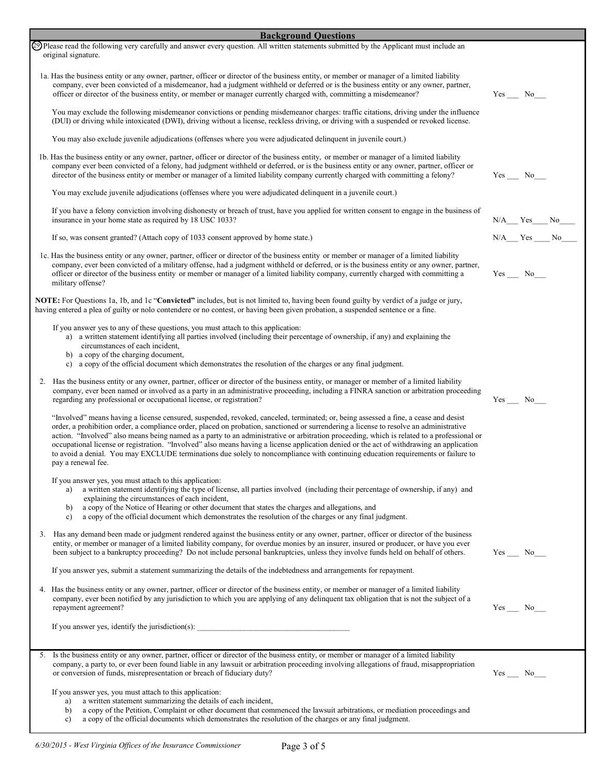| <b>Background Questions</b>                                                                                                                                                                                                                                                                                                                                                                                                                                                                                                                                                                                                                                                                                                       |                  |
|-----------------------------------------------------------------------------------------------------------------------------------------------------------------------------------------------------------------------------------------------------------------------------------------------------------------------------------------------------------------------------------------------------------------------------------------------------------------------------------------------------------------------------------------------------------------------------------------------------------------------------------------------------------------------------------------------------------------------------------|------------------|
| 29 Please read the following very carefully and answer every question. All written statements submitted by the Applicant must include an<br>original signature.                                                                                                                                                                                                                                                                                                                                                                                                                                                                                                                                                                   |                  |
| 1a. Has the business entity or any owner, partner, officer or director of the business entity, or member or manager of a limited liability<br>company, ever been convicted of a misdemeanor, had a judgment withheld or deferred or is the business entity or any owner, partner,<br>officer or director of the business entity, or member or manager currently charged with, committing a misdemeanor?                                                                                                                                                                                                                                                                                                                           | $Yes$ No         |
| You may exclude the following misdemeanor convictions or pending misdemeanor charges: traffic citations, driving under the influence<br>(DUI) or driving while intoxicated (DWI), driving without a license, reckless driving, or driving with a suspended or revoked license.                                                                                                                                                                                                                                                                                                                                                                                                                                                    |                  |
| You may also exclude juvenile adjudications (offenses where you were adjudicated delinguent in juvenile court.)                                                                                                                                                                                                                                                                                                                                                                                                                                                                                                                                                                                                                   |                  |
| 1b. Has the business entity or any owner, partner, officer or director of the business entity, or member or manager of a limited liability<br>company ever been convicted of a felony, had judgment withheld or deferred, or is the business entity or any owner, partner, officer or<br>director of the business entity or member or manager of a limited liability company currently charged with committing a felony?                                                                                                                                                                                                                                                                                                          | $Yes$ No $\_\_$  |
| You may exclude juvenile adjudications (offenses where you were adjudicated delinquent in a juvenile court.)                                                                                                                                                                                                                                                                                                                                                                                                                                                                                                                                                                                                                      |                  |
| If you have a felony conviction involving dishonesty or breach of trust, have you applied for written consent to engage in the business of<br>insurance in your home state as required by 18 USC 1033?                                                                                                                                                                                                                                                                                                                                                                                                                                                                                                                            | $N/A$ $Yes$ $No$ |
| If so, was consent granted? (Attach copy of 1033 consent approved by home state.)                                                                                                                                                                                                                                                                                                                                                                                                                                                                                                                                                                                                                                                 | $N/A$ $Yes$ $No$ |
| 1c. Has the business entity or any owner, partner, officer or director of the business entity or member or manager of a limited liability<br>company, ever been convicted of a military offense, had a judgment withheld or deferred, or is the business entity or any owner, partner,<br>officer or director of the business entity or member or manager of a limited liability company, currently charged with committing a<br>military offense?                                                                                                                                                                                                                                                                                | $Yes$ No $\_\_$  |
| <b>NOTE:</b> For Questions 1a, 1b, and 1c " <b>Convicted"</b> includes, but is not limited to, having been found guilty by verdict of a judge or jury,<br>having entered a plea of guilty or nolo contendere or no contest, or having been given probation, a suspended sentence or a fine.                                                                                                                                                                                                                                                                                                                                                                                                                                       |                  |
| If you answer yes to any of these questions, you must attach to this application:<br>a) a written statement identifying all parties involved (including their percentage of ownership, if any) and explaining the<br>circumstances of each incident,<br>b) a copy of the charging document,<br>c) a copy of the official document which demonstrates the resolution of the charges or any final judgment.                                                                                                                                                                                                                                                                                                                         |                  |
| 2. Has the business entity or any owner, partner, officer or director of the business entity, or manager or member of a limited liability<br>company, ever been named or involved as a party in an administrative proceeding, including a FINRA sanction or arbitration proceeding<br>regarding any professional or occupational license, or registration?                                                                                                                                                                                                                                                                                                                                                                        | $Yes$ No         |
| "Involved" means having a license censured, suspended, revoked, canceled, terminated; or, being assessed a fine, a cease and desist<br>order, a prohibition order, a compliance order, placed on probation, sanctioned or surrendering a license to resolve an administrative<br>action. "Involved" also means being named as a party to an administrative or arbitration proceeding, which is related to a professional or<br>occupational license or registration. "Involved" also means having a license application denied or the act of withdrawing an application<br>to avoid a denial. You may EXCLUDE terminations due solely to noncompliance with continuing education requirements or failure to<br>pay a renewal fee. |                  |
| If you answer yes, you must attach to this application:<br>a written statement identifying the type of license, all parties involved (including their percentage of ownership, if any) and<br>explaining the circumstances of each incident,<br>a copy of the Notice of Hearing or other document that states the charges and allegations, and<br>b)<br>a copy of the official document which demonstrates the resolution of the charges or any final judgment.<br>$\mathbf{c}$                                                                                                                                                                                                                                                   |                  |
| 3. Has any demand been made or judgment rendered against the business entity or any owner, partner, officer or director of the business<br>entity, or member or manager of a limited liability company, for overdue monies by an insurer, insured or producer, or have you ever<br>been subject to a bankruptcy proceeding? Do not include personal bankruptcies, unless they involve funds held on behalf of others.                                                                                                                                                                                                                                                                                                             | $Yes$ No $\_\_$  |
| If you answer yes, submit a statement summarizing the details of the indebtedness and arrangements for repayment.                                                                                                                                                                                                                                                                                                                                                                                                                                                                                                                                                                                                                 |                  |
| 4. Has the business entity or any owner, partner, officer or director of the business entity, or member or manager of a limited liability<br>company, ever been notified by any jurisdiction to which you are applying of any delinquent tax obligation that is not the subject of a<br>repayment agreement?                                                                                                                                                                                                                                                                                                                                                                                                                      | $Yes$ No_____    |
|                                                                                                                                                                                                                                                                                                                                                                                                                                                                                                                                                                                                                                                                                                                                   |                  |
| 5. Is the business entity or any owner, partner, officer or director of the business entity, or member or manager of a limited liability<br>company, a party to, or ever been found liable in any lawsuit or arbitration proceeding involving allegations of fraud, misappropriation<br>or conversion of funds, misrepresentation or breach of fiduciary duty?                                                                                                                                                                                                                                                                                                                                                                    | $Yes$ No_______  |
| If you answer yes, you must attach to this application:<br>a written statement summarizing the details of each incident,<br>a)<br>a copy of the Petition, Complaint or other document that commenced the lawsuit arbitrations, or mediation proceedings and<br>b)<br>a copy of the official documents which demonstrates the resolution of the charges or any final judgment.<br>$\mathbf{c}$                                                                                                                                                                                                                                                                                                                                     |                  |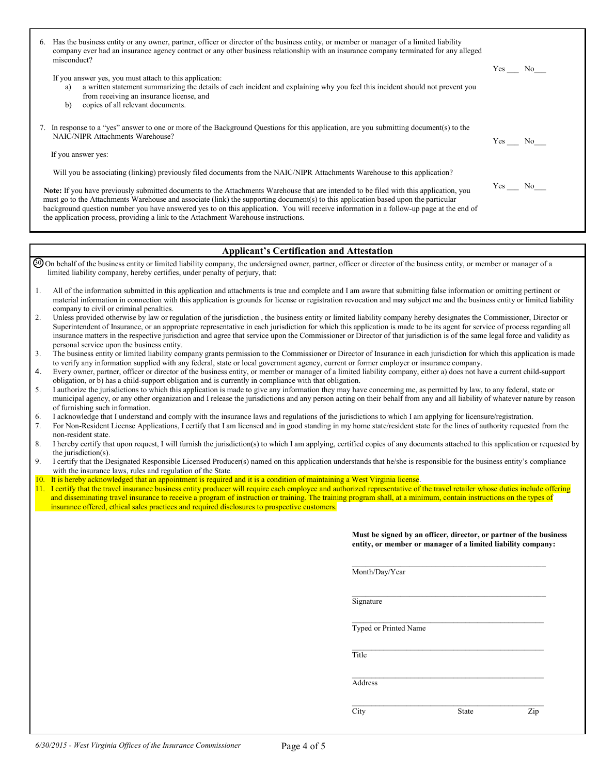|    | 6. Has the business entity or any owner, partner, officer or director of the business entity, or member or manager of a limited liability                                                                                                                                                                                                                                                                                                                                                                                                                                     |        |
|----|-------------------------------------------------------------------------------------------------------------------------------------------------------------------------------------------------------------------------------------------------------------------------------------------------------------------------------------------------------------------------------------------------------------------------------------------------------------------------------------------------------------------------------------------------------------------------------|--------|
|    | company ever had an insurance agency contract or any other business relationship with an insurance company terminated for any alleged<br>misconduct?                                                                                                                                                                                                                                                                                                                                                                                                                          | Yes No |
|    | If you answer yes, you must attach to this application:<br>a written statement summarizing the details of each incident and explaining why you feel this incident should not prevent you<br>a)<br>from receiving an insurance license, and<br>copies of all relevant documents.<br>b)                                                                                                                                                                                                                                                                                         |        |
|    | 7. In response to a "yes" answer to one or more of the Background Questions for this application, are you submitting document(s) to the<br><b>NAIC/NIPR Attachments Warehouse?</b>                                                                                                                                                                                                                                                                                                                                                                                            | Yes No |
|    | If you answer yes:                                                                                                                                                                                                                                                                                                                                                                                                                                                                                                                                                            |        |
|    | Will you be associating (linking) previously filed documents from the NAIC/NIPR Attachments Warehouse to this application?                                                                                                                                                                                                                                                                                                                                                                                                                                                    |        |
|    | Note: If you have previously submitted documents to the Attachments Warehouse that are intended to be filed with this application, you<br>must go to the Attachments Warehouse and associate (link) the supporting document(s) to this application based upon the particular<br>background question number you have answered yes to on this application. You will receive information in a follow-up page at the end of<br>the application process, providing a link to the Attachment Warehouse instructions.                                                                | Yes No |
|    |                                                                                                                                                                                                                                                                                                                                                                                                                                                                                                                                                                               |        |
|    | <b>Applicant's Certification and Attestation</b>                                                                                                                                                                                                                                                                                                                                                                                                                                                                                                                              |        |
|    | 40 On behalf of the business entity or limited liability company, the undersigned owner, partner, officer or director of the business entity, or member or manager of a<br>limited liability company, hereby certifies, under penalty of perjury, that:                                                                                                                                                                                                                                                                                                                       |        |
| 1. | All of the information submitted in this application and attachments is true and complete and I am aware that submitting false information or omitting pertinent or<br>material information in connection with this application is grounds for license or registration revocation and may subject me and the business entity or limited liability<br>company to civil or criminal penalties.                                                                                                                                                                                  |        |
| 2. | Unless provided otherwise by law or regulation of the jurisdiction, the business entity or limited liability company hereby designates the Commissioner, Director or<br>Superintendent of Insurance, or an appropriate representative in each jurisdiction for which this application is made to be its agent for service of process regarding all<br>insurance matters in the respective jurisdiction and agree that service upon the Commissioner or Director of that jurisdiction is of the same legal force and validity as<br>personal service upon the business entity. |        |
|    | The booking called in the Holding company components and a Committive of North of Kommon the Coldination formation and condition is model.                                                                                                                                                                                                                                                                                                                                                                                                                                    |        |

| e business entity of fimiled hability company grants permission to the Commissioner of Difector of Insurance in each jurisdiction for which this application is mad |
|---------------------------------------------------------------------------------------------------------------------------------------------------------------------|
| to verify any information supplied with any federal, state or local government agency, current or former employer or insurance company                              |
|                                                                                                                                                                     |
| $\mathbb{R}^n$ . Of the case $\mathbb{R}^n$                                                                                                                         |

- 4. Every owner, partner, officer or director of the business entity, or member or manager of a limited liability company, either a) does not have a current child-support obligation, or b) has a child-support obligation and is currently in compliance with that obligation.
- 5. I authorize the jurisdictions to which this application is made to give any information they may have concerning me, as permitted by law, to any federal, state or municipal agency, or any other organization and I release the jurisdictions and any person acting on their behalf from any and all liability of whatever nature by reason of furnishing such information.

6. I acknowledge that I understand and comply with the insurance laws and regulations of the jurisdictions to which I am applying for licensure/registration.

7. For Non-Resident License Applications, I certify that I am licensed and in good standing in my home state/resident state for the lines of authority requested from the non-resident state.

- 8. I hereby certify that upon request, I will furnish the jurisdiction(s) to which I am applying, certified copies of any documents attached to this application or requested by the jurisdiction(s).
- 9. I certify that the Designated Responsible Licensed Producer(s) named on this application understands that he/she is responsible for the business entity's compliance with the insurance laws, rules and regulation of the State.
- 10. It is hereby acknowledged that an appointment is required and it is a condition of maintaining a West Virginia license.
- 11. I certify that the travel insurance business entity producer will require each employee and authorized representative of the travel retailer whose duties include offering and disseminating travel insurance to receive a program of instruction or training. The training program shall, at a minimum, contain instructions on the types of insurance offered, ethical sales practices and required disclosures to prospective customers.

**Must be signed by an officer, director, or partner of the business entity, or member or manager of a limited liability company:** 

\_\_\_\_\_\_\_\_\_\_\_\_\_\_\_\_\_\_\_\_\_\_\_\_\_\_\_\_\_\_\_\_\_\_\_\_\_\_\_\_\_\_\_\_

\_\_\_\_\_\_\_\_\_\_\_\_\_\_\_\_\_\_\_\_\_\_\_\_\_\_\_\_\_\_\_\_\_\_\_\_\_\_\_\_\_\_\_\_\_\_\_\_\_

Month/Day/Year

\_\_\_\_\_\_\_\_\_\_\_\_\_\_\_\_\_\_\_\_\_\_\_\_\_\_\_\_\_\_\_\_\_\_\_\_\_\_\_\_\_\_\_\_ **Signature** 

 $\_$ Typed or Printed Name

\_\_\_\_\_\_\_\_\_\_\_\_\_\_\_\_\_\_\_\_\_\_\_\_\_\_\_\_\_\_\_\_\_\_\_\_\_\_\_\_\_\_\_\_\_\_\_\_\_ **Title The State of the State of Title** 

> \_\_\_\_\_\_\_\_\_\_\_\_\_\_\_\_\_\_\_\_\_\_\_\_\_\_\_\_\_\_\_\_\_\_\_\_\_\_\_\_\_\_\_\_\_\_\_\_\_ Address

City State Zip

- 3. The business entity or limited liability company grants permission to the Commissioner or Director of Insurance in each jurisdiction for which this application is made
-